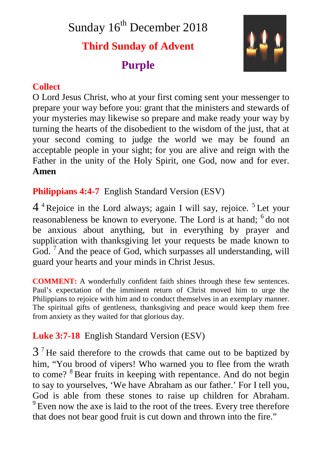Sunday 16<sup>th</sup> December 2018 **Third Sunday of Advent Purple**



## **Collect**

O Lord Jesus Christ, who at your first coming sent your messenger to prepare your way before you: grant that the ministers and stewards of your mysteries may likewise so prepare and make ready your way by turning the hearts of the disobedient to the wisdom of the just, that at your second coming to judge the world we may be found an acceptable people in your sight; for you are alive and reign with the Father in the unity of the Holy Spirit, one God, now and for ever. **Amen**

**Philippians 4:4-7** English Standard Version (ESV)

4<sup>4</sup> Rejoice in the Lord always; again I will say, rejoice.<sup>5</sup> Let your reasonableness be known to everyone. The Lord is at hand; <sup>6</sup> do not be anxious about anything, but in everything by prayer and supplication with thanksgiving let your requests be made known to God. <sup>7</sup> And the peace of God, which surpasses all understanding, will guard your hearts and your minds in Christ Jesus.

**COMMENT:** A wonderfully confident faith shines through these few sentences. Paul's expectation of the imminent return of Christ moved him to urge the Philippians to rejoice with him and to conduct themselves in an exemplary manner. The spiritual gifts of gentleness, thanksgiving and peace would keep them free from anxiety as they waited for that glorious day.

# **Luke 3:7-18** English Standard Version (ESV)

 $3<sup>7</sup>$  He said therefore to the crowds that came out to be baptized by him, "You brood of vipers! Who warned you to flee from the wrath to come? <sup>8</sup> Bear fruits in keeping with repentance. And do not begin to say to yourselves, 'We have Abraham as our father.' For I tell you, God is able from these stones to raise up children for Abraham. <sup>9</sup> Even now the axe is laid to the root of the trees. Every tree therefore that does not bear good fruit is cut down and thrown into the fire."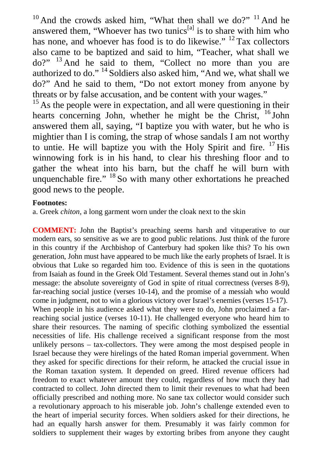$10$  And the crowds asked him, "What then shall we do?"  $11$  And he answered them, "Whoever has two tunics<sup>[a]</sup> is to share with him who has none, and whoever has food is to do likewise." <sup>12</sup> Tax collectors also came to be baptized and said to him, "Teacher, what shall we do?" <sup>13</sup> And he said to them, "Collect no more than you are authorized to do." <sup>14</sup> Soldiers also asked him, "And we, what shall we do?" And he said to them, "Do not extort money from anyone by threats or by false accusation, and be content with your wages."

 $15$  As the people were in expectation, and all were questioning in their hearts concerning John, whether he might be the Christ, <sup>16</sup> John answered them all, saying, "I baptize you with water, but he who is mightier than I is coming, the strap of whose sandals I am not worthy to untie. He will baptize you with the Holy Spirit and fire.  $17$  His winnowing fork is in his hand, to clear his threshing floor and to gather the wheat into his barn, but the chaff he will burn with unquenchable fire." <sup>18</sup> So with many other exhortations he preached good news to the people.

#### **Footnotes:**

a. Greek *chiton*, a long garment worn under the cloak next to the skin

**COMMENT:** John the Baptist's preaching seems harsh and vituperative to our modern ears, so sensitive as we are to good public relations. Just think of the furore in this country if the Archbishop of Canterbury had spoken like this? To his own generation, John must have appeared to be much like the early prophets of Israel. It is obvious that Luke so regarded him too. Evidence of this is seen in the quotations from Isaiah as found in the Greek Old Testament. Several themes stand out in John's message: the absolute sovereignty of God in spite of ritual correctness (verses 8-9), far-reaching social justice (verses 10-14), and the promise of a messiah who would come in judgment, not to win a glorious victory over Israel's enemies (verses 15-17). When people in his audience asked what they were to do, John proclaimed a farreaching social justice (verses 10-11). He challenged everyone who heard him to share their resources. The naming of specific clothing symbolized the essential necessities of life. His challenge received a significant response from the most unlikely persons – tax-collectors. They were among the most despised people in Israel because they were hirelings of the hated Roman imperial government. When they asked for specific directions for their reform, he attacked the crucial issue in the Roman taxation system. It depended on greed. Hired revenue officers had freedom to exact whatever amount they could, regardless of how much they had contracted to collect. John directed them to limit their revenues to what had been officially prescribed and nothing more. No sane tax collector would consider such a revolutionary approach to his miserable job. John's challenge extended even to the heart of imperial security forces. When soldiers asked for their directions, he had an equally harsh answer for them. Presumably it was fairly common for soldiers to supplement their wages by extorting bribes from anyone they caught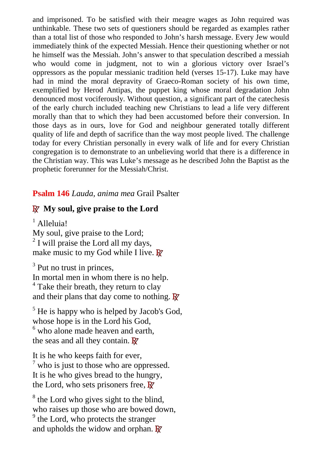and imprisoned. To be satisfied with their meagre wages as John required was unthinkable. These two sets of questioners should be regarded as examples rather than a total list of those who responded to John's harsh message. Every Jew would immediately think of the expected Messiah. Hence their questioning whether or not he himself was the Messiah. John's answer to that speculation described a messiah who would come in judgment, not to win a glorious victory over Israel's oppressors as the popular messianic tradition held (verses 15-17). Luke may have had in mind the moral depravity of Graeco-Roman society of his own time, exemplified by Herod Antipas, the puppet king whose moral degradation John denounced most vociferously. Without question, a significant part of the catechesis of the early church included teaching new Christians to lead a life very different morally than that to which they had been accustomed before their conversion. In those days as in ours, love for God and neighbour generated totally different quality of life and depth of sacrifice than the way most people lived. The challenge today for every Christian personally in every walk of life and for every Christian congregation is to demonstrate to an unbelieving world that there is a difference in the Christian way. This was Luke's message as he described John the Baptist as the prophetic forerunner for the Messiah/Christ.

#### **Psalm 146** *Lauda, anima mea* Grail Psalter

#### **R My soul, give praise to the Lord**

<sup>1</sup> Alleluia! My soul, give praise to the Lord;  $2$  I will praise the Lord all my days, make music to my God while I live. **R**

<sup>3</sup> Put no trust in princes, In mortal men in whom there is no help. <sup>4</sup> Take their breath, they return to clay and their plans that day come to nothing. **R**

<sup>5</sup> He is happy who is helped by Jacob's God, whose hope is in the Lord his God, <sup>6</sup> who alone made heaven and earth, the seas and all they contain. **R**

It is he who keeps faith for ever,  $7$  who is just to those who are oppressed. It is he who gives bread to the hungry, the Lord, who sets prisoners free, **R**

<sup>8</sup> the Lord who gives sight to the blind, who raises up those who are bowed down, <sup>9</sup> the Lord, who protects the stranger and upholds the widow and orphan. **R**